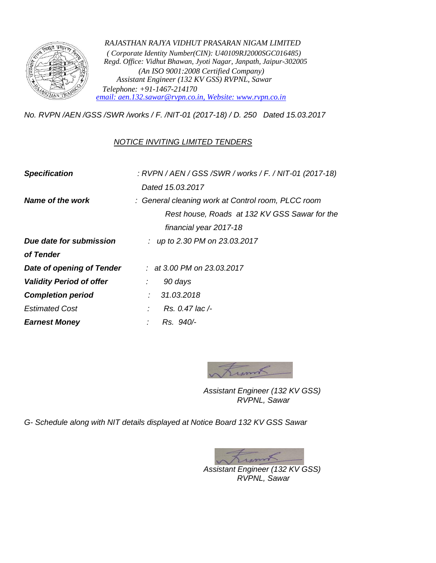

*RAJASTHAN RAJYA VIDHUT PRASARAN NIGAM LIMITED ( Corporate Identity Number(CIN): U40109RJ2000SGC016485) Regd. Office: Vidhut Bhawan, Jyoti Nagar, Janpath, Jaipur-302005 (An ISO 9001:2008 Certified Company) Assistant Engineer (132 KV GSS) RVPNL, Sawar Telephone: +91-1467-214170 [email: aen.132.sawar@rvpn.co.in, Website: www.rvpn.co.in](mailto:%20email:%20aen.132.sawar@rvpn.co.in,%20Website:%20www.rvpn.co.i)*

*No. RVPN /AEN /GSS /SWR /works / F. /NIT-01 (2017-18) / D. 250 Dated 15.03.2017*

## *NOTICE INVITING LIMITED TENDERS*

| : RVPN / AEN / GSS / SWR / works / F. / NIT-01 (2017-18) |
|----------------------------------------------------------|
| Dated 15.03.2017                                         |
| : General cleaning work at Control room, PLCC room       |
| Rest house, Roads at 132 KV GSS Sawar for the            |
| financial year 2017-18                                   |
| : up to 2.30 PM on 23.03.2017                            |
|                                                          |
| : at 3.00 PM on 23.03.2017                               |
| 90 days<br>$\mathcal{L}^{\mathcal{L}}$                   |
| 31.03.2018                                               |
| Rs. 0.47 lac /-                                          |
| Rs. 940/-                                                |
|                                                          |



*Assistant Engineer (132 KV GSS) RVPNL, Sawar*

*G- Schedule along with NIT details displayed at Notice Board 132 KV GSS Sawar*

Lynn *Assistant Engineer (132 KV GSS) RVPNL, Sawar*